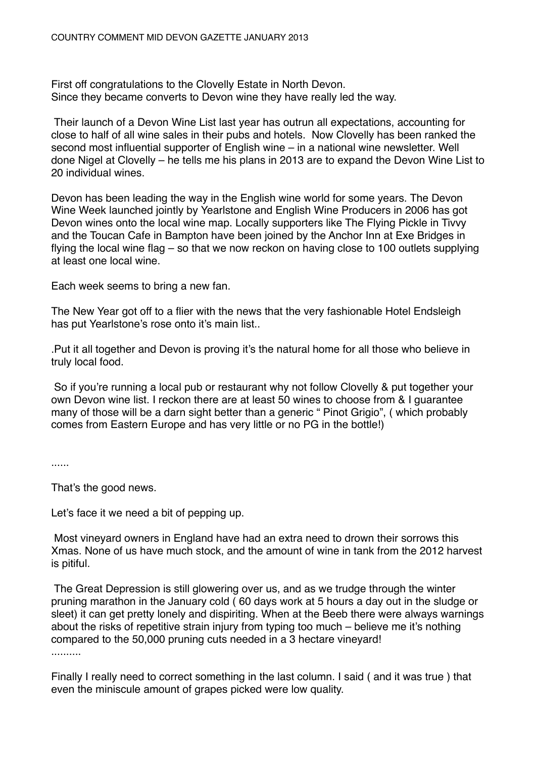First off congratulations to the Clovelly Estate in North Devon. Since they became converts to Devon wine they have really led the way.

 Their launch of a Devon Wine List last year has outrun all expectations, accounting for close to half of all wine sales in their pubs and hotels. Now Clovelly has been ranked the second most influential supporter of English wine – in a national wine newsletter. Well done Nigel at Clovelly – he tells me his plans in 2013 are to expand the Devon Wine List to 20 individual wines.

Devon has been leading the way in the English wine world for some years. The Devon Wine Week launched jointly by Yearlstone and English Wine Producers in 2006 has got Devon wines onto the local wine map. Locally supporters like The Flying Pickle in Tivvy and the Toucan Cafe in Bampton have been joined by the Anchor Inn at Exe Bridges in flying the local wine flag – so that we now reckon on having close to 100 outlets supplying at least one local wine.

Each week seems to bring a new fan.

The New Year got off to a flier with the news that the very fashionable Hotel Endsleigh has put Yearlstone's rose onto it's main list..

.Put it all together and Devon is proving it's the natural home for all those who believe in truly local food.

 So if you're running a local pub or restaurant why not follow Clovelly & put together your own Devon wine list. I reckon there are at least 50 wines to choose from & I guarantee many of those will be a darn sight better than a generic " Pinot Grigio", ( which probably comes from Eastern Europe and has very little or no PG in the bottle!)

......

That's the good news.

Let's face it we need a bit of pepping up.

 Most vineyard owners in England have had an extra need to drown their sorrows this Xmas. None of us have much stock, and the amount of wine in tank from the 2012 harvest is pitiful.

 The Great Depression is still glowering over us, and as we trudge through the winter pruning marathon in the January cold ( 60 days work at 5 hours a day out in the sludge or sleet) it can get pretty lonely and dispiriting. When at the Beeb there were always warnings about the risks of repetitive strain injury from typing too much – believe me it's nothing compared to the 50,000 pruning cuts needed in a 3 hectare vineyard! ..........

Finally I really need to correct something in the last column. I said ( and it was true ) that even the miniscule amount of grapes picked were low quality.